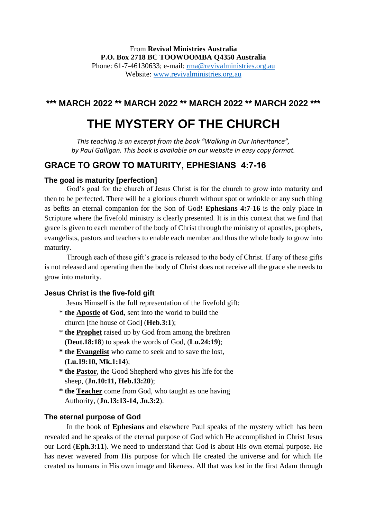# From **Revival Ministries Australia P.O. Box 2718 BC TOOWOOMBA Q4350 Australia**

Phone: 61-7-46130633; e-mail: [rma@revivalministries.org.au](mailto:rma@revivalministries.org.au) Website: [www.revivalministries.org.au](https://nam12.safelinks.protection.outlook.com/?url=http%3A%2F%2Fwww.revivalministries.org.au%2F&data=04%7C01%7C%7C893b0de236cd44b5753508da1119c884%7C84df9e7fe9f640afb435aaaaaaaaaaaa%7C1%7C0%7C637841099691678308%7CUnknown%7CTWFpbGZsb3d8eyJWIjoiMC4wLjAwMDAiLCJQIjoiV2luMzIiLCJBTiI6Ik1haWwiLCJXVCI6Mn0%3D%7C3000&sdata=JwGd7wIUQ%2BKchieSMd7ZQUgiyisKsXc3IEehQQ1LRrs%3D&reserved=0)

# **\*\*\* MARCH 2022 \*\* MARCH 2022 \*\* MARCH 2022 \*\* MARCH 2022 \*\*\***

# **THE MYSTERY OF THE CHURCH**

*This teaching is an excerpt from the book "Walking in Our Inheritance", by Paul Galligan. This book is available on our website in easy copy format.*

# **GRACE TO GROW TO MATURITY, EPHESIANS 4:7-16**

## **The goal is maturity [perfection]**

God's goal for the church of Jesus Christ is for the church to grow into maturity and then to be perfected. There will be a glorious church without spot or wrinkle or any such thing as befits an eternal companion for the Son of God! **Ephesians 4:7-16** is the only place in Scripture where the fivefold ministry is clearly presented. It is in this context that we find that grace is given to each member of the body of Christ through the ministry of apostles, prophets, evangelists, pastors and teachers to enable each member and thus the whole body to grow into maturity.

Through each of these gift's grace is released to the body of Christ. If any of these gifts is not released and operating then the body of Christ does not receive all the grace she needs to grow into maturity.

## **Jesus Christ is the five-fold gift**

Jesus Himself is the full representation of the fivefold gift:

- \* **the Apostle of God**, sent into the world to build the church [the house of God] (**Heb.3:1**);
- \* **the Prophet** raised up by God from among the brethren (**Deut.18:18**) to speak the words of God, (**Lu.24:19**);
- **\* the Evangelist** who came to seek and to save the lost, (**Lu.19:10, Mk.1:14**);
- **\* the Pastor**, the Good Shepherd who gives his life for the sheep, (**Jn.10:11, Heb.13:20**);
- **\* the Teacher** come from God, who taught as one having Authority, (**Jn.13:13-14, Jn.3:2**).

## **The eternal purpose of God**

In the book of **Ephesians** and elsewhere Paul speaks of the mystery which has been revealed and he speaks of the eternal purpose of God which He accomplished in Christ Jesus our Lord (**Eph.3:11**). We need to understand that God is about His own eternal purpose. He has never wavered from His purpose for which He created the universe and for which He created us humans in His own image and likeness. All that was lost in the first Adam through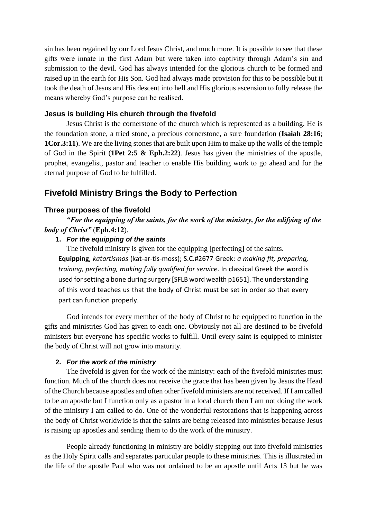sin has been regained by our Lord Jesus Christ, and much more. It is possible to see that these gifts were innate in the first Adam but were taken into captivity through Adam's sin and submission to the devil. God has always intended for the glorious church to be formed and raised up in the earth for His Son. God had always made provision for this to be possible but it took the death of Jesus and His descent into hell and His glorious ascension to fully release the means whereby God's purpose can be realised.

#### **Jesus is building His church through the fivefold**

Jesus Christ is the cornerstone of the church which is represented as a building. He is the foundation stone, a tried stone, a precious cornerstone, a sure foundation (**Isaiah 28:16**; **1Cor.3:11**). We are the living stones that are built upon Him to make up the walls of the temple of God in the Spirit (**1Pet 2:5 & Eph.2:22**). Jesus has given the ministries of the apostle, prophet, evangelist, pastor and teacher to enable His building work to go ahead and for the eternal purpose of God to be fulfilled.

# **Fivefold Ministry Brings the Body to Perfection**

#### **Three purposes of the fivefold**

*"For the equipping of the saints, for the work of the ministry, for the edifying of the body of Christ"* (**Eph.4:12**).

#### **1.** *For the equipping of the saints*

The fivefold ministry is given for the equipping [perfecting] of the saints. **Equipping**, *katartismos* (kat-ar-tis-moss); S.C.#2677 Greek: *a making fit, preparing, training, perfecting, making fully qualified for service*. In classical Greek the word is used for setting a bone during surgery [SFLB word wealth p1651]. The understanding of this word teaches us that the body of Christ must be set in order so that every part can function properly.

God intends for every member of the body of Christ to be equipped to function in the gifts and ministries God has given to each one. Obviously not all are destined to be fivefold ministers but everyone has specific works to fulfill. Until every saint is equipped to minister the body of Christ will not grow into maturity.

#### **2.** *For the work of the ministry*

The fivefold is given for the work of the ministry: each of the fivefold ministries must function. Much of the church does not receive the grace that has been given by Jesus the Head of the Church because apostles and often other fivefold ministers are not received. If I am called to be an apostle but I function only as a pastor in a local church then I am not doing the work of the ministry I am called to do. One of the wonderful restorations that is happening across the body of Christ worldwide is that the saints are being released into ministries because Jesus is raising up apostles and sending them to do the work of the ministry.

People already functioning in ministry are boldly stepping out into fivefold ministries as the Holy Spirit calls and separates particular people to these ministries. This is illustrated in the life of the apostle Paul who was not ordained to be an apostle until Acts 13 but he was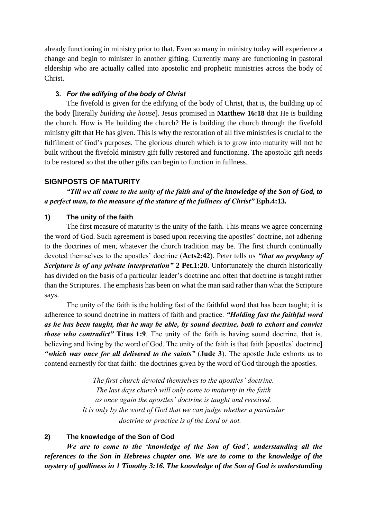already functioning in ministry prior to that. Even so many in ministry today will experience a change and begin to minister in another gifting. Currently many are functioning in pastoral eldership who are actually called into apostolic and prophetic ministries across the body of Christ.

#### **3.** *For the edifying of the body of Christ*

The fivefold is given for the edifying of the body of Christ, that is, the building up of the body [literally *building the house*]. Jesus promised in **Matthew 16:18** that He is building the church. How is He building the church? He is building the church through the fivefold ministry gift that He has given. This is why the restoration of all five ministries is crucial to the fulfilment of God's purposes. The glorious church which is to grow into maturity will not be built without the fivefold ministry gift fully restored and functioning. The apostolic gift needs to be restored so that the other gifts can begin to function in fullness.

#### **SIGNPOSTS OF MATURITY**

*"Till we all come to the unity of the faith and of the knowledge of the Son of God, to a perfect man, to the measure of the stature of the fullness of Christ"* **Eph.4:13.**

#### **1) The unity of the faith**

The first measure of maturity is the unity of the faith. This means we agree concerning the word of God. Such agreement is based upon receiving the apostles' doctrine, not adhering to the doctrines of men, whatever the church tradition may be. The first church continually devoted themselves to the apostles' doctrine (**Acts2:42**). Peter tells us *"that no prophecy of Scripture is of any private interpretation"* **2 Pet.1:20**. Unfortunately the church historically has divided on the basis of a particular leader's doctrine and often that doctrine is taught rather than the Scriptures. The emphasis has been on what the man said rather than what the Scripture says.

The unity of the faith is the holding fast of the faithful word that has been taught; it is adherence to sound doctrine in matters of faith and practice. *"Holding fast the faithful word as he has been taught, that he may be able, by sound doctrine, both to exhort and convict those who contradict"* **Titus 1:9**. The unity of the faith is having sound doctrine, that is, believing and living by the word of God. The unity of the faith is that faith [apostles' doctrine] *"which was once for all delivered to the saints"* (**Jude 3**). The apostle Jude exhorts us to contend earnestly for that faith: the doctrines given by the word of God through the apostles.

> *The first church devoted themselves to the apostles' doctrine. The last days church will only come to maturity in the faith as once again the apostles' doctrine is taught and received. It is only by the word of God that we can judge whether a particular doctrine or practice is of the Lord or not.*

## **2) The knowledge of the Son of God**

*We are to come to the 'knowledge of the Son of God', understanding all the references to the Son in Hebrews chapter one. We are to come to the knowledge of the mystery of godliness in 1 Timothy 3:16. The knowledge of the Son of God is understanding*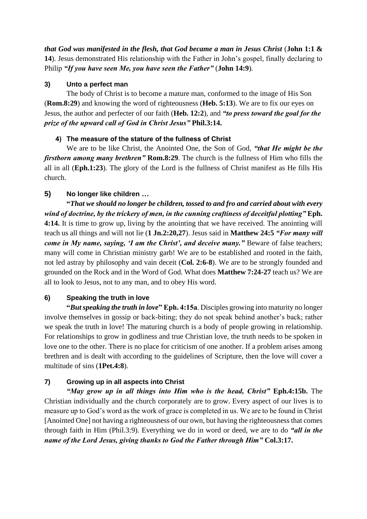*that God was manifested in the flesh, that God became a man in Jesus Christ* (**John 1:1 & 14**)*.* Jesus demonstrated His relationship with the Father in John's gospel, finally declaring to Philip *"If you have seen Me, you have seen the Father"* (**John 14:9**)*.*

# **3) Unto a perfect man**

The body of Christ is to become a mature man, conformed to the image of His Son (**Rom.8:29**) and knowing the word of righteousness (**Heb. 5:13**). We are to fix our eyes on Jesus, the author and perfecter of our faith (**Heb. 12:2**), and *"to press toward the goal for the prize of the upward call of God in Christ Jesus"* **Phil.3:14.** 

# **4) The measure of the stature of the fullness of Christ**

We are to be like Christ, the Anointed One, the Son of God, *"that He might be the firstborn among many brethren"* **Rom.8:29**. The church is the fullness of Him who fills the all in all (**Eph.1:23**). The glory of the Lord is the fullness of Christ manifest as He fills His church.

# **5) No longer like children** *…*

**"***That we should no longer be children, tossed to and fro and carried about with every wind of doctrine, by the trickery of men, in the cunning craftiness of deceitful plotting"* **Eph. 4:14.** It is time to grow up, living by the anointing that we have received. The anointing will teach us all things and will not lie (**1 Jn.2:20,27**). Jesus said in **Matthew 24:5** *"For many will come in My name, saying, 'I am the Christ', and deceive many."* Beware of false teachers; many will come in Christian ministry garb! We are to be established and rooted in the faith, not led astray by philosophy and vain deceit (**Col. 2:6-8**). We are to be strongly founded and grounded on the Rock and in the Word of God. What does **Matthew 7:24-27** teach us? We are all to look to Jesus, not to any man, and to obey His word.

# **6) Speaking the truth in love**

**"***But speaking the truth in love***" Eph. 4:15a**. Disciples growing into maturity no longer involve themselves in gossip or back-biting; they do not speak behind another's back; rather we speak the truth in love! The maturing church is a body of people growing in relationship. For relationships to grow in godliness and true Christian love, the truth needs to be spoken in love one to the other. There is no place for criticism of one another. If a problem arises among brethren and is dealt with according to the guidelines of Scripture, then the love will cover a multitude of sins (**1Pet.4:8**).

# **7) Growing up in all aspects into Christ**

*"May grow up in all things into Him who is the head, Christ"* **Eph.4:15b.** The Christian individually and the church corporately are to grow. Every aspect of our lives is to measure up to God's word as the work of grace is completed in us. We are to be found in Christ [Anointed One] not having a righteousness of our own, but having the righteousness that comes through faith in Him (Phil.3:9). Everything we do in word or deed, we are to do *"all in the name of the Lord Jesus, giving thanks to God the Father through Him"* **Col.3:17.**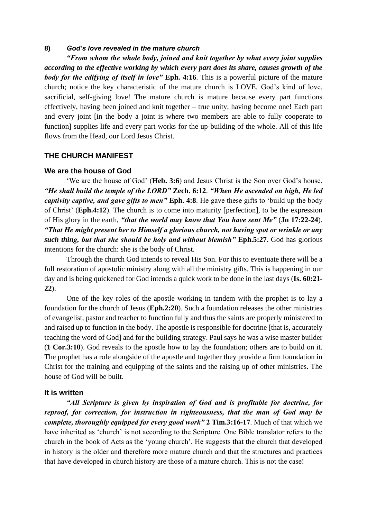#### **8)** *God's love revealed in the mature church*

*"From whom the whole body, joined and knit together by what every joint supplies according to the effective working by which every part does its share, causes growth of the body for the edifying of itself in love*" Eph. 4:16. This is a powerful picture of the mature church; notice the key characteristic of the mature church is LOVE, God's kind of love, sacrificial, self-giving love! The mature church is mature because every part functions effectively, having been joined and knit together – true unity, having become one! Each part and every joint [in the body a joint is where two members are able to fully cooperate to function] supplies life and every part works for the up-building of the whole. All of this life flows from the Head, our Lord Jesus Christ.

#### **THE CHURCH MANIFEST**

#### **We are the house of God**

'We are the house of God' (**Heb. 3:6**) and Jesus Christ is the Son over God's house. *"He shall build the temple of the LORD"* **Zech. 6:12**. *"When He ascended on high, He led captivity captive, and gave gifts to men"* **Eph. 4:8**. He gave these gifts to 'build up the body of Christ' (**Eph.4:12**). The church is to come into maturity [perfection], to be the expression of His glory in the earth, *"that the world may know that You have sent Me"* (**Jn 17:22-24**). *"That He might present her to Himself a glorious church, not having spot or wrinkle or any such thing, but that she should be holy and without blemish"* **Eph.5:27**. God has glorious intentions for the church: she is the body of Christ.

Through the church God intends to reveal His Son. For this to eventuate there will be a full restoration of apostolic ministry along with all the ministry gifts. This is happening in our day and is being quickened for God intends a quick work to be done in the last days (**Is. 60:21- 22**).

One of the key roles of the apostle working in tandem with the prophet is to lay a foundation for the church of Jesus (**Eph.2:20**). Such a foundation releases the other ministries of evangelist, pastor and teacher to function fully and thus the saints are properly ministered to and raised up to function in the body. The apostle is responsible for doctrine [that is, accurately teaching the word of God] and for the building strategy. Paul says he was a wise master builder (**1 Cor.3:10**). God reveals to the apostle how to lay the foundation; others are to build on it. The prophet has a role alongside of the apostle and together they provide a firm foundation in Christ for the training and equipping of the saints and the raising up of other ministries. The house of God will be built.

#### **It is written**

*"All Scripture is given by inspiration of God and is profitable for doctrine, for reproof, for correction, for instruction in righteousness, that the man of God may be complete, thoroughly equipped for every good work"* **2 Tim.3:16-17**. Much of that which we have inherited as 'church' is not according to the Scripture. One Bible translator refers to the church in the book of Acts as the 'young church'. He suggests that the church that developed in history is the older and therefore more mature church and that the structures and practices that have developed in church history are those of a mature church. This is not the case!